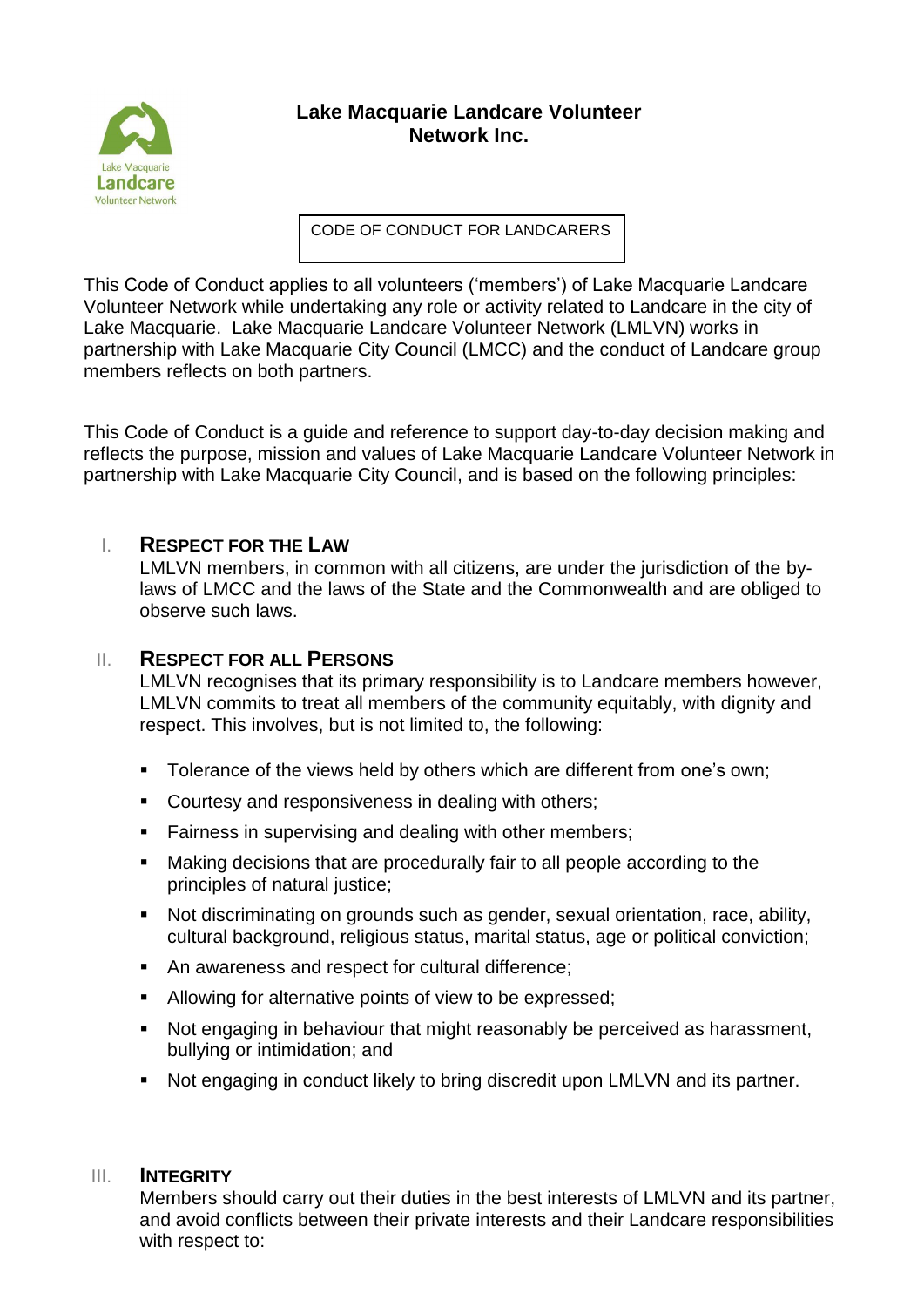

# **Lake Macquarie Landcare Volunteer Network Inc.**

CODE OF CONDUCT FOR LANDCARERS

This Code of Conduct applies to all volunteers ('members') of Lake Macquarie Landcare Volunteer Network while undertaking any role or activity related to Landcare in the city of Lake Macquarie. Lake Macquarie Landcare Volunteer Network (LMLVN) works in partnership with Lake Macquarie City Council (LMCC) and the conduct of Landcare group members reflects on both partners.

This Code of Conduct is a guide and reference to support day-to-day decision making and reflects the purpose, mission and values of Lake Macquarie Landcare Volunteer Network in partnership with Lake Macquarie City Council, and is based on the following principles:

## I. **RESPECT FOR THE LAW**

LMLVN members, in common with all citizens, are under the jurisdiction of the bylaws of LMCC and the laws of the State and the Commonwealth and are obliged to observe such laws.

### II. **RESPECT FOR ALL PERSONS**

LMLVN recognises that its primary responsibility is to Landcare members however, LMLVN commits to treat all members of the community equitably, with dignity and respect. This involves, but is not limited to, the following:

- **Tolerance of the views held by others which are different from one's own;**
- **Courtesy and responsiveness in dealing with others;**
- **Fairness in supervising and dealing with other members;**
- Making decisions that are procedurally fair to all people according to the principles of natural justice:
- Not discriminating on grounds such as gender, sexual orientation, race, ability, cultural background, religious status, marital status, age or political conviction;
- An awareness and respect for cultural difference;
- Allowing for alternative points of view to be expressed;
- Not engaging in behaviour that might reasonably be perceived as harassment, bullying or intimidation; and
- Not engaging in conduct likely to bring discredit upon LMLVN and its partner.

### III. **INTEGRITY**

Members should carry out their duties in the best interests of LMLVN and its partner, and avoid conflicts between their private interests and their Landcare responsibilities with respect to: